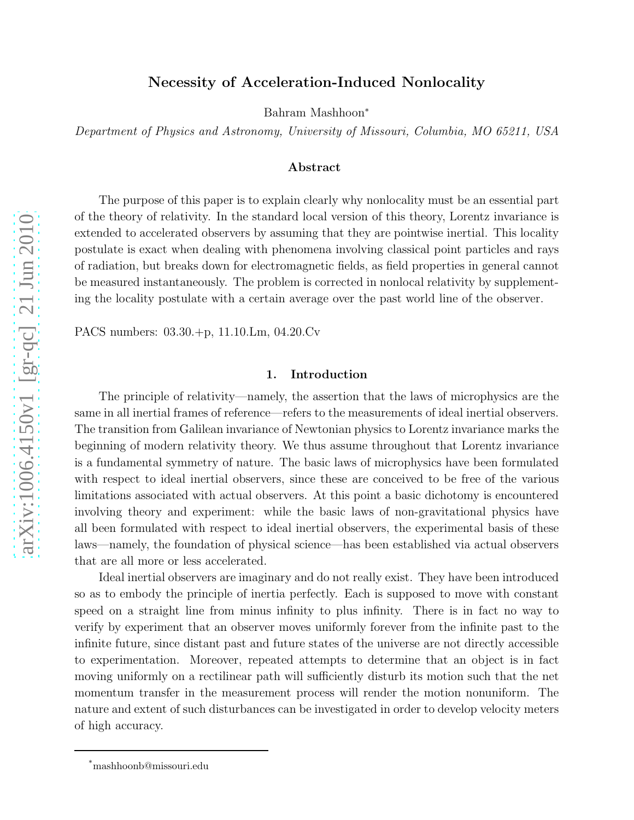# Necessity of Acceleration-Induced Nonlocality

Bahram Mashhoon ∗

Department of Physics and Astronomy, University of Missouri, Columbia, MO 65211, USA

## Abstract

The purpose of this paper is to explain clearly why nonlocality must be an essential part of the theory of relativity. In the standard local version of this theory, Lorentz invariance is extended to accelerated observers by assuming that they are pointwise inertial. This locality postulate is exact when dealing with phenomena involving classical point particles and rays of radiation, but breaks down for electromagnetic fields, as field properties in general cannot be measured instantaneously. The problem is corrected in nonlocal relativity by supplementing the locality postulate with a certain average over the past world line of the observer.

PACS numbers: 03.30.+p, 11.10.Lm, 04.20.Cv

# 1. Introduction

The principle of relativity—namely, the assertion that the laws of microphysics are the same in all inertial frames of reference—refers to the measurements of ideal inertial observers. The transition from Galilean invariance of Newtonian physics to Lorentz invariance marks the beginning of modern relativity theory. We thus assume throughout that Lorentz invariance is a fundamental symmetry of nature. The basic laws of microphysics have been formulated with respect to ideal inertial observers, since these are conceived to be free of the various limitations associated with actual observers. At this point a basic dichotomy is encountered involving theory and experiment: while the basic laws of non-gravitational physics have all been formulated with respect to ideal inertial observers, the experimental basis of these laws—namely, the foundation of physical science—has been established via actual observers that are all more or less accelerated.

Ideal inertial observers are imaginary and do not really exist. They have been introduced so as to embody the principle of inertia perfectly. Each is supposed to move with constant speed on a straight line from minus infinity to plus infinity. There is in fact no way to verify by experiment that an observer moves uniformly forever from the infinite past to the infinite future, since distant past and future states of the universe are not directly accessible to experimentation. Moreover, repeated attempts to determine that an object is in fact moving uniformly on a rectilinear path will sufficiently disturb its motion such that the net momentum transfer in the measurement process will render the motion nonuniform. The nature and extent of such disturbances can be investigated in order to develop velocity meters of high accuracy.

<sup>\*</sup>mashhoonb@missouri.edu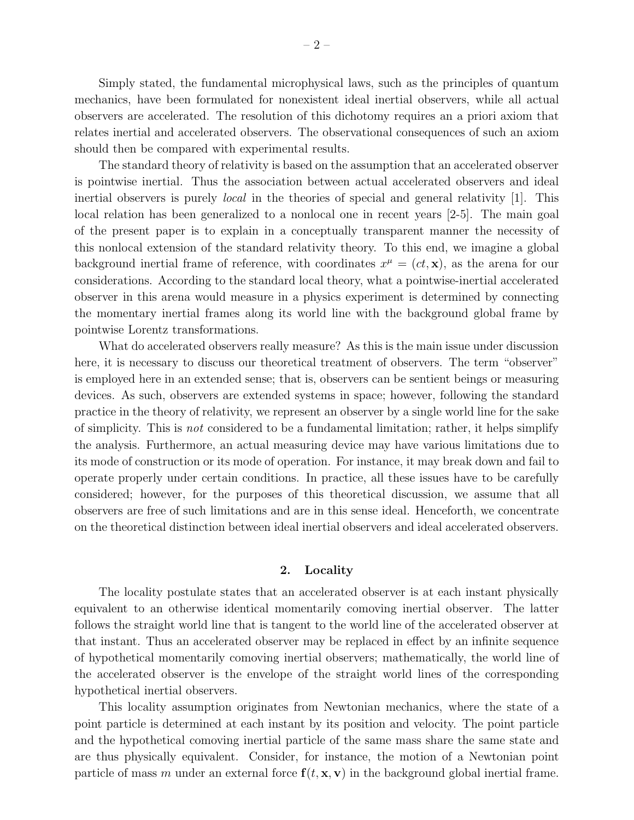Simply stated, the fundamental microphysical laws, such as the principles of quantum mechanics, have been formulated for nonexistent ideal inertial observers, while all actual observers are accelerated. The resolution of this dichotomy requires an a priori axiom that relates inertial and accelerated observers. The observational consequences of such an axiom should then be compared with experimental results.

The standard theory of relativity is based on the assumption that an accelerated observer is pointwise inertial. Thus the association between actual accelerated observers and ideal inertial observers is purely local in the theories of special and general relativity [1]. This local relation has been generalized to a nonlocal one in recent years [2-5]. The main goal of the present paper is to explain in a conceptually transparent manner the necessity of this nonlocal extension of the standard relativity theory. To this end, we imagine a global background inertial frame of reference, with coordinates  $x^{\mu} = (ct, \mathbf{x})$ , as the arena for our considerations. According to the standard local theory, what a pointwise-inertial accelerated observer in this arena would measure in a physics experiment is determined by connecting the momentary inertial frames along its world line with the background global frame by pointwise Lorentz transformations.

What do accelerated observers really measure? As this is the main issue under discussion here, it is necessary to discuss our theoretical treatment of observers. The term "observer" is employed here in an extended sense; that is, observers can be sentient beings or measuring devices. As such, observers are extended systems in space; however, following the standard practice in the theory of relativity, we represent an observer by a single world line for the sake of simplicity. This is not considered to be a fundamental limitation; rather, it helps simplify the analysis. Furthermore, an actual measuring device may have various limitations due to its mode of construction or its mode of operation. For instance, it may break down and fail to operate properly under certain conditions. In practice, all these issues have to be carefully considered; however, for the purposes of this theoretical discussion, we assume that all observers are free of such limitations and are in this sense ideal. Henceforth, we concentrate on the theoretical distinction between ideal inertial observers and ideal accelerated observers.

#### 2. Locality

The locality postulate states that an accelerated observer is at each instant physically equivalent to an otherwise identical momentarily comoving inertial observer. The latter follows the straight world line that is tangent to the world line of the accelerated observer at that instant. Thus an accelerated observer may be replaced in effect by an infinite sequence of hypothetical momentarily comoving inertial observers; mathematically, the world line of the accelerated observer is the envelope of the straight world lines of the corresponding hypothetical inertial observers.

This locality assumption originates from Newtonian mechanics, where the state of a point particle is determined at each instant by its position and velocity. The point particle and the hypothetical comoving inertial particle of the same mass share the same state and are thus physically equivalent. Consider, for instance, the motion of a Newtonian point particle of mass m under an external force  $f(t, x, v)$  in the background global inertial frame.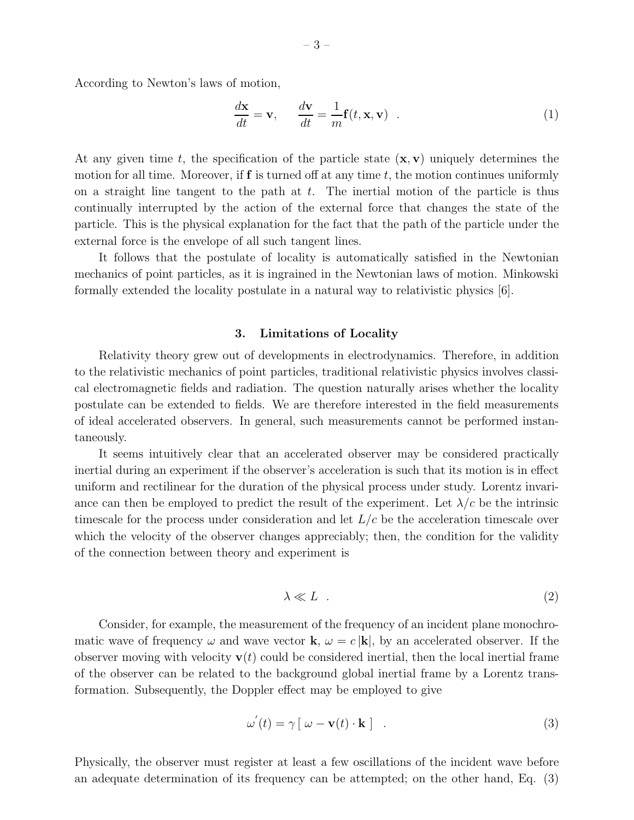According to Newton's laws of motion,

$$
\frac{d\mathbf{x}}{dt} = \mathbf{v}, \qquad \frac{d\mathbf{v}}{dt} = \frac{1}{m}\mathbf{f}(t, \mathbf{x}, \mathbf{v}) \quad . \tag{1}
$$

At any given time t, the specification of the particle state  $(x, v)$  uniquely determines the motion for all time. Moreover, if  $f$  is turned off at any time t, the motion continues uniformly on a straight line tangent to the path at  $t$ . The inertial motion of the particle is thus continually interrupted by the action of the external force that changes the state of the particle. This is the physical explanation for the fact that the path of the particle under the external force is the envelope of all such tangent lines.

It follows that the postulate of locality is automatically satisfied in the Newtonian mechanics of point particles, as it is ingrained in the Newtonian laws of motion. Minkowski formally extended the locality postulate in a natural way to relativistic physics [6].

#### 3. Limitations of Locality

Relativity theory grew out of developments in electrodynamics. Therefore, in addition to the relativistic mechanics of point particles, traditional relativistic physics involves classical electromagnetic fields and radiation. The question naturally arises whether the locality postulate can be extended to fields. We are therefore interested in the field measurements of ideal accelerated observers. In general, such measurements cannot be performed instantaneously.

It seems intuitively clear that an accelerated observer may be considered practically inertial during an experiment if the observer's acceleration is such that its motion is in effect uniform and rectilinear for the duration of the physical process under study. Lorentz invariance can then be employed to predict the result of the experiment. Let  $\lambda/c$  be the intrinsic timescale for the process under consideration and let  $L/c$  be the acceleration timescale over which the velocity of the observer changes appreciably; then, the condition for the validity of the connection between theory and experiment is

$$
\lambda \ll L \tag{2}
$$

Consider, for example, the measurement of the frequency of an incident plane monochromatic wave of frequency  $\omega$  and wave vector **k**,  $\omega = c |\mathbf{k}|$ , by an accelerated observer. If the observer moving with velocity  $\mathbf{v}(t)$  could be considered inertial, then the local inertial frame of the observer can be related to the background global inertial frame by a Lorentz transformation. Subsequently, the Doppler effect may be employed to give

$$
\omega'(t) = \gamma [\omega - \mathbf{v}(t) \cdot \mathbf{k}] \quad . \tag{3}
$$

Physically, the observer must register at least a few oscillations of the incident wave before an adequate determination of its frequency can be attempted; on the other hand, Eq. (3)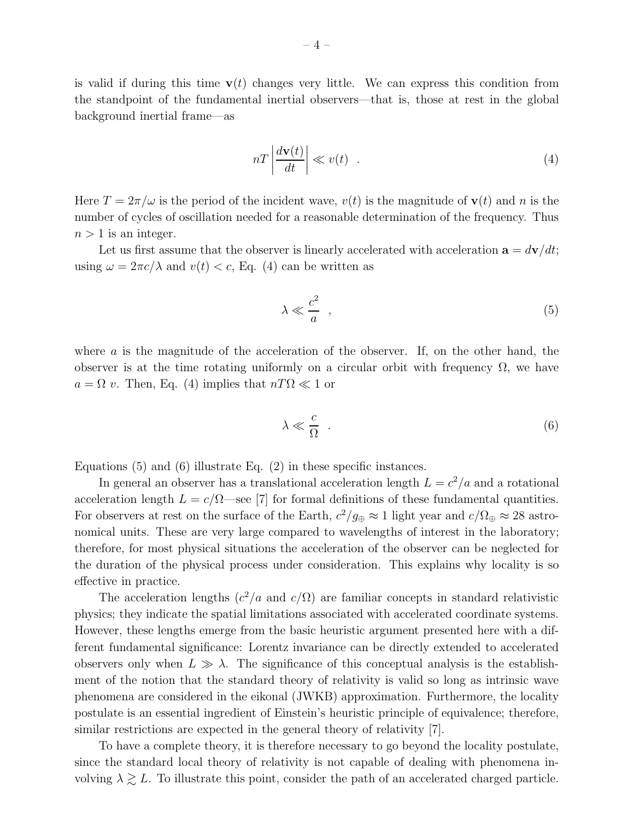is valid if during this time  $\mathbf{v}(t)$  changes very little. We can express this condition from the standpoint of the fundamental inertial observers—that is, those at rest in the global background inertial frame—as

$$
nT \left| \frac{d\mathbf{v}(t)}{dt} \right| \ll v(t) \quad . \tag{4}
$$

Here  $T = 2\pi/\omega$  is the period of the incident wave,  $v(t)$  is the magnitude of  $v(t)$  and n is the number of cycles of oscillation needed for a reasonable determination of the frequency. Thus  $n > 1$  is an integer.

Let us first assume that the observer is linearly accelerated with acceleration  $\mathbf{a} = d\mathbf{v}/dt$ ; using  $\omega = 2\pi c/\lambda$  and  $v(t) < c$ , Eq. (4) can be written as

$$
\lambda \ll \frac{c^2}{a} \quad , \tag{5}
$$

where a is the magnitude of the acceleration of the observer. If, on the other hand, the observer is at the time rotating uniformly on a circular orbit with frequency  $\Omega$ , we have  $a = \Omega v$ . Then, Eq. (4) implies that  $nT\Omega \ll 1$  or

$$
\lambda \ll \frac{c}{\Omega} \quad . \tag{6}
$$

Equations (5) and (6) illustrate Eq. (2) in these specific instances.

In general an observer has a translational acceleration length  $L = c^2/a$  and a rotational acceleration length  $L = c/\Omega$ —see [7] for formal definitions of these fundamental quantities. For observers at rest on the surface of the Earth,  $c^2/g_{\oplus} \approx 1$  light year and  $c/\Omega_{\oplus} \approx 28$  astronomical units. These are very large compared to wavelengths of interest in the laboratory; therefore, for most physical situations the acceleration of the observer can be neglected for the duration of the physical process under consideration. This explains why locality is so effective in practice.

The acceleration lengths  $(c^2/a$  and  $c/\Omega$ ) are familiar concepts in standard relativistic physics; they indicate the spatial limitations associated with accelerated coordinate systems. However, these lengths emerge from the basic heuristic argument presented here with a different fundamental significance: Lorentz invariance can be directly extended to accelerated observers only when  $L \gg \lambda$ . The significance of this conceptual analysis is the establishment of the notion that the standard theory of relativity is valid so long as intrinsic wave phenomena are considered in the eikonal (JWKB) approximation. Furthermore, the locality postulate is an essential ingredient of Einstein's heuristic principle of equivalence; therefore, similar restrictions are expected in the general theory of relativity [7].

To have a complete theory, it is therefore necessary to go beyond the locality postulate, since the standard local theory of relativity is not capable of dealing with phenomena involving  $\lambda \gtrsim L$ . To illustrate this point, consider the path of an accelerated charged particle.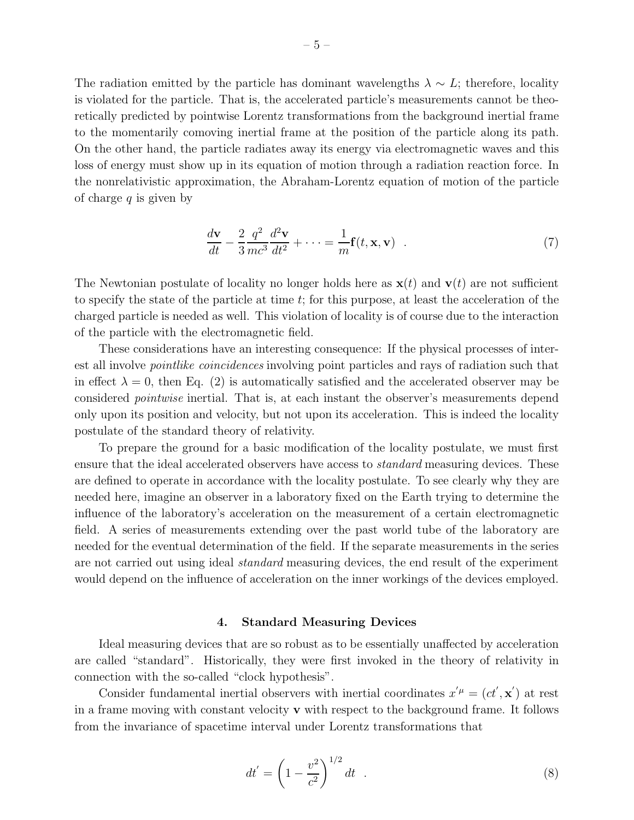The radiation emitted by the particle has dominant wavelengths  $\lambda \sim L$ ; therefore, locality is violated for the particle. That is, the accelerated particle's measurements cannot be theoretically predicted by pointwise Lorentz transformations from the background inertial frame to the momentarily comoving inertial frame at the position of the particle along its path. On the other hand, the particle radiates away its energy via electromagnetic waves and this loss of energy must show up in its equation of motion through a radiation reaction force. In the nonrelativistic approximation, the Abraham-Lorentz equation of motion of the particle of charge  $q$  is given by

$$
\frac{d\mathbf{v}}{dt} - \frac{2}{3}\frac{q^2}{mc^3}\frac{d^2\mathbf{v}}{dt^2} + \dots = \frac{1}{m}\mathbf{f}(t, \mathbf{x}, \mathbf{v}) \quad . \tag{7}
$$

The Newtonian postulate of locality no longer holds here as  $\mathbf{x}(t)$  and  $\mathbf{v}(t)$  are not sufficient to specify the state of the particle at time t; for this purpose, at least the acceleration of the charged particle is needed as well. This violation of locality is of course due to the interaction of the particle with the electromagnetic field.

These considerations have an interesting consequence: If the physical processes of interest all involve pointlike coincidences involving point particles and rays of radiation such that in effect  $\lambda = 0$ , then Eq. (2) is automatically satisfied and the accelerated observer may be considered pointwise inertial. That is, at each instant the observer's measurements depend only upon its position and velocity, but not upon its acceleration. This is indeed the locality postulate of the standard theory of relativity.

To prepare the ground for a basic modification of the locality postulate, we must first ensure that the ideal accelerated observers have access to *standard* measuring devices. These are defined to operate in accordance with the locality postulate. To see clearly why they are needed here, imagine an observer in a laboratory fixed on the Earth trying to determine the influence of the laboratory's acceleration on the measurement of a certain electromagnetic field. A series of measurements extending over the past world tube of the laboratory are needed for the eventual determination of the field. If the separate measurements in the series are not carried out using ideal standard measuring devices, the end result of the experiment would depend on the influence of acceleration on the inner workings of the devices employed.

## 4. Standard Measuring Devices

Ideal measuring devices that are so robust as to be essentially unaffected by acceleration are called "standard". Historically, they were first invoked in the theory of relativity in connection with the so-called "clock hypothesis".

Consider fundamental inertial observers with inertial coordinates  $x^{'\mu} = (ct', \mathbf{x}')$  at rest in a frame moving with constant velocity  $\bf{v}$  with respect to the background frame. It follows from the invariance of spacetime interval under Lorentz transformations that

$$
dt' = \left(1 - \frac{v^2}{c^2}\right)^{1/2} dt \quad . \tag{8}
$$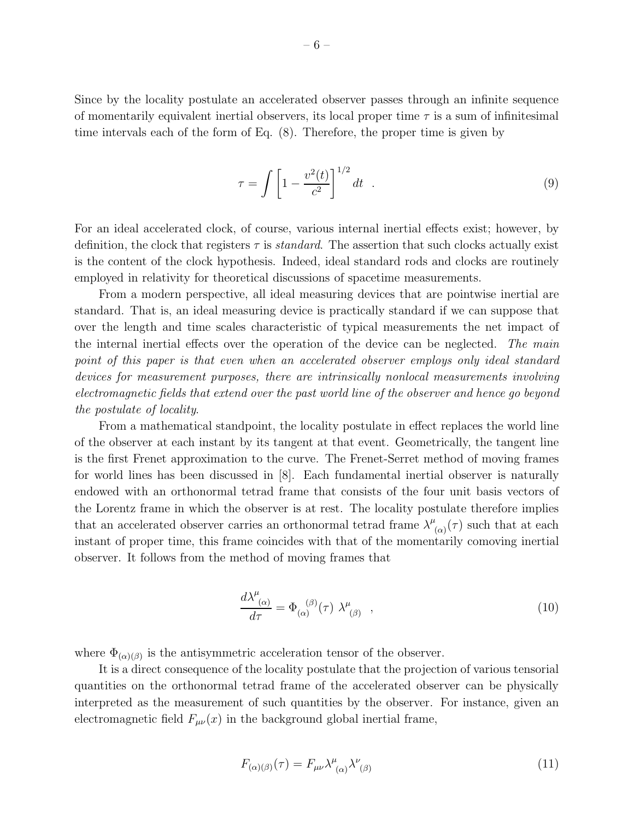Since by the locality postulate an accelerated observer passes through an infinite sequence of momentarily equivalent inertial observers, its local proper time  $\tau$  is a sum of infinitesimal time intervals each of the form of Eq. (8). Therefore, the proper time is given by

$$
\tau = \int \left[ 1 - \frac{v^2(t)}{c^2} \right]^{1/2} dt \quad . \tag{9}
$$

For an ideal accelerated clock, of course, various internal inertial effects exist; however, by definition, the clock that registers  $\tau$  is *standard*. The assertion that such clocks actually exist is the content of the clock hypothesis. Indeed, ideal standard rods and clocks are routinely employed in relativity for theoretical discussions of spacetime measurements.

From a modern perspective, all ideal measuring devices that are pointwise inertial are standard. That is, an ideal measuring device is practically standard if we can suppose that over the length and time scales characteristic of typical measurements the net impact of the internal inertial effects over the operation of the device can be neglected. The main point of this paper is that even when an accelerated observer employs only ideal standard devices for measurement purposes, there are intrinsically nonlocal measurements involving electromagnetic fields that extend over the past world line of the observer and hence go beyond the postulate of locality.

From a mathematical standpoint, the locality postulate in effect replaces the world line of the observer at each instant by its tangent at that event. Geometrically, the tangent line is the first Frenet approximation to the curve. The Frenet-Serret method of moving frames for world lines has been discussed in [8]. Each fundamental inertial observer is naturally endowed with an orthonormal tetrad frame that consists of the four unit basis vectors of the Lorentz frame in which the observer is at rest. The locality postulate therefore implies that an accelerated observer carries an orthonormal tetrad frame  $\lambda^{\mu}$  $\int_{(\alpha)}^{\infty}(\tau)$  such that at each instant of proper time, this frame coincides with that of the momentarily comoving inertial observer. It follows from the method of moving frames that

$$
\frac{d\lambda^{\mu}_{\ (\alpha)}}{d\tau} = \Phi_{(\alpha)}^{\ \ (\beta)}(\tau) \ \lambda^{\mu}_{\ \ (\beta)} \ \ , \tag{10}
$$

where  $\Phi_{(\alpha)(\beta)}$  is the antisymmetric acceleration tensor of the observer.

It is a direct consequence of the locality postulate that the projection of various tensorial quantities on the orthonormal tetrad frame of the accelerated observer can be physically interpreted as the measurement of such quantities by the observer. For instance, given an electromagnetic field  $F_{\mu\nu}(x)$  in the background global inertial frame,

$$
F_{(\alpha)(\beta)}(\tau) = F_{\mu\nu} \lambda^{\mu}_{(\alpha)} \lambda^{\nu}_{(\beta)} \tag{11}
$$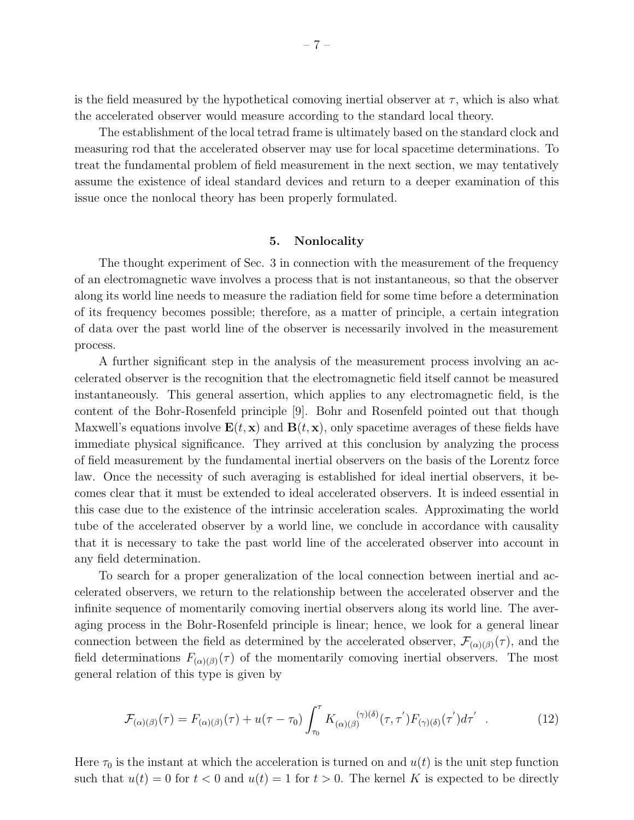is the field measured by the hypothetical comoving inertial observer at  $\tau$ , which is also what the accelerated observer would measure according to the standard local theory.

The establishment of the local tetrad frame is ultimately based on the standard clock and measuring rod that the accelerated observer may use for local spacetime determinations. To treat the fundamental problem of field measurement in the next section, we may tentatively assume the existence of ideal standard devices and return to a deeper examination of this issue once the nonlocal theory has been properly formulated.

## 5. Nonlocality

The thought experiment of Sec. 3 in connection with the measurement of the frequency of an electromagnetic wave involves a process that is not instantaneous, so that the observer along its world line needs to measure the radiation field for some time before a determination of its frequency becomes possible; therefore, as a matter of principle, a certain integration of data over the past world line of the observer is necessarily involved in the measurement process.

A further significant step in the analysis of the measurement process involving an accelerated observer is the recognition that the electromagnetic field itself cannot be measured instantaneously. This general assertion, which applies to any electromagnetic field, is the content of the Bohr-Rosenfeld principle [9]. Bohr and Rosenfeld pointed out that though Maxwell's equations involve  $E(t, x)$  and  $B(t, x)$ , only spacetime averages of these fields have immediate physical significance. They arrived at this conclusion by analyzing the process of field measurement by the fundamental inertial observers on the basis of the Lorentz force law. Once the necessity of such averaging is established for ideal inertial observers, it becomes clear that it must be extended to ideal accelerated observers. It is indeed essential in this case due to the existence of the intrinsic acceleration scales. Approximating the world tube of the accelerated observer by a world line, we conclude in accordance with causality that it is necessary to take the past world line of the accelerated observer into account in any field determination.

To search for a proper generalization of the local connection between inertial and accelerated observers, we return to the relationship between the accelerated observer and the infinite sequence of momentarily comoving inertial observers along its world line. The averaging process in the Bohr-Rosenfeld principle is linear; hence, we look for a general linear connection between the field as determined by the accelerated observer,  $\mathcal{F}_{(\alpha)(\beta)}(\tau)$ , and the field determinations  $F_{(\alpha)(\beta)}(\tau)$  of the momentarily comoving inertial observers. The most general relation of this type is given by

$$
\mathcal{F}_{(\alpha)(\beta)}(\tau) = F_{(\alpha)(\beta)}(\tau) + u(\tau - \tau_0) \int_{\tau_0}^{\tau} K_{(\alpha)(\beta)}(\gamma)(\delta)(\tau, \tau') F_{(\gamma)(\delta)}(\tau') d\tau' . \tag{12}
$$

Here  $\tau_0$  is the instant at which the acceleration is turned on and  $u(t)$  is the unit step function such that  $u(t) = 0$  for  $t < 0$  and  $u(t) = 1$  for  $t > 0$ . The kernel K is expected to be directly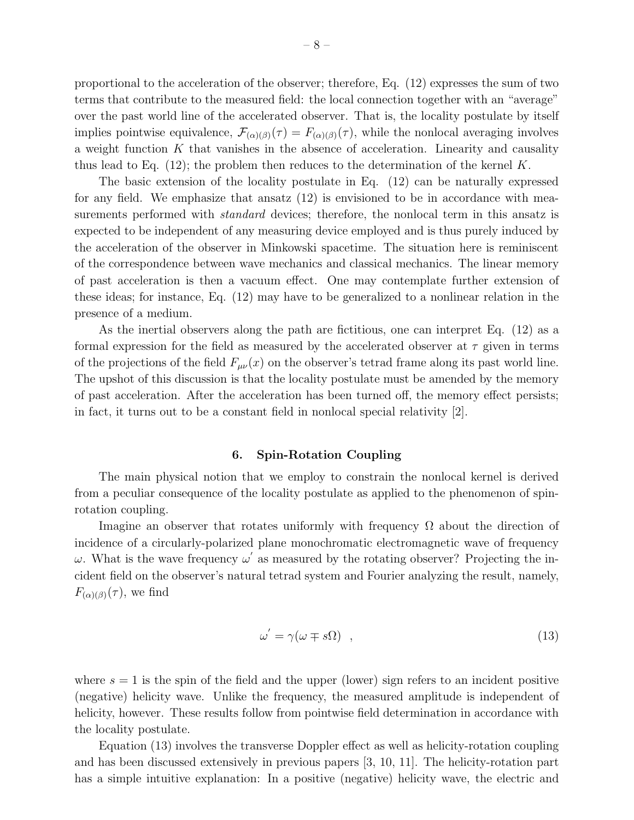proportional to the acceleration of the observer; therefore, Eq. (12) expresses the sum of two terms that contribute to the measured field: the local connection together with an "average" over the past world line of the accelerated observer. That is, the locality postulate by itself implies pointwise equivalence,  $\mathcal{F}_{(\alpha)(\beta)}(\tau) = F_{(\alpha)(\beta)}(\tau)$ , while the nonlocal averaging involves a weight function  $K$  that vanishes in the absence of acceleration. Linearity and causality thus lead to Eq.  $(12)$ ; the problem then reduces to the determination of the kernel K.

The basic extension of the locality postulate in Eq. (12) can be naturally expressed for any field. We emphasize that ansatz (12) is envisioned to be in accordance with measurements performed with *standard* devices; therefore, the nonlocal term in this ansatz is expected to be independent of any measuring device employed and is thus purely induced by the acceleration of the observer in Minkowski spacetime. The situation here is reminiscent of the correspondence between wave mechanics and classical mechanics. The linear memory of past acceleration is then a vacuum effect. One may contemplate further extension of these ideas; for instance, Eq. (12) may have to be generalized to a nonlinear relation in the presence of a medium.

As the inertial observers along the path are fictitious, one can interpret Eq. (12) as a formal expression for the field as measured by the accelerated observer at  $\tau$  given in terms of the projections of the field  $F_{\mu\nu}(x)$  on the observer's tetrad frame along its past world line. The upshot of this discussion is that the locality postulate must be amended by the memory of past acceleration. After the acceleration has been turned off, the memory effect persists; in fact, it turns out to be a constant field in nonlocal special relativity [2].

## 6. Spin-Rotation Coupling

The main physical notion that we employ to constrain the nonlocal kernel is derived from a peculiar consequence of the locality postulate as applied to the phenomenon of spinrotation coupling.

Imagine an observer that rotates uniformly with frequency  $\Omega$  about the direction of incidence of a circularly-polarized plane monochromatic electromagnetic wave of frequency ω. What is the wave frequency  $ω'$  as measured by the rotating observer? Projecting the incident field on the observer's natural tetrad system and Fourier analyzing the result, namely,  $F_{(\alpha)(\beta)}(\tau)$ , we find

$$
\omega' = \gamma(\omega \mp s\Omega) \quad , \tag{13}
$$

where  $s = 1$  is the spin of the field and the upper (lower) sign refers to an incident positive (negative) helicity wave. Unlike the frequency, the measured amplitude is independent of helicity, however. These results follow from pointwise field determination in accordance with the locality postulate.

Equation (13) involves the transverse Doppler effect as well as helicity-rotation coupling and has been discussed extensively in previous papers [3, 10, 11]. The helicity-rotation part has a simple intuitive explanation: In a positive (negative) helicity wave, the electric and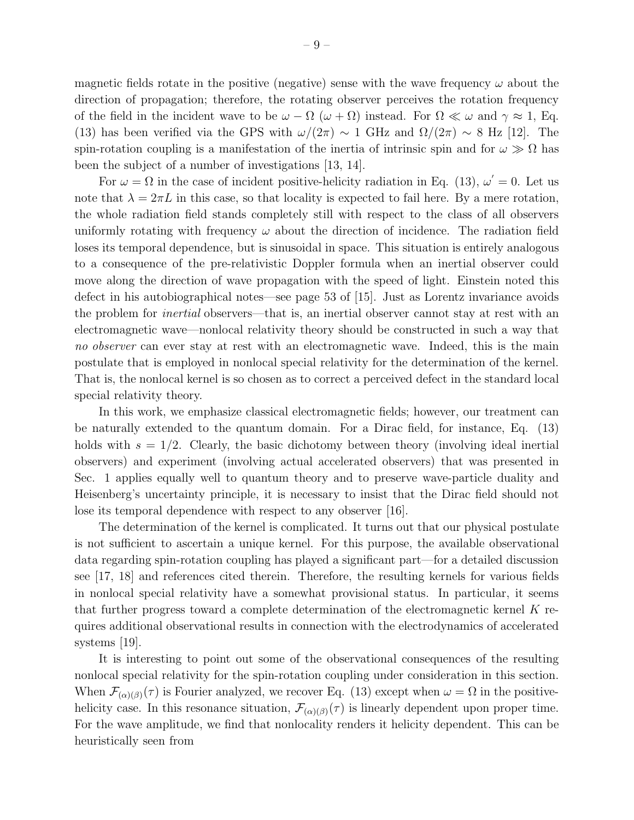magnetic fields rotate in the positive (negative) sense with the wave frequency  $\omega$  about the direction of propagation; therefore, the rotating observer perceives the rotation frequency of the field in the incident wave to be  $\omega - \Omega$  ( $\omega + \Omega$ ) instead. For  $\Omega \ll \omega$  and  $\gamma \approx 1$ , Eq. (13) has been verified via the GPS with  $\omega/(2\pi) \sim 1$  GHz and  $\Omega/(2\pi) \sim 8$  Hz [12]. The spin-rotation coupling is a manifestation of the inertia of intrinsic spin and for  $\omega \gg \Omega$  has been the subject of a number of investigations [13, 14].

For  $\omega = \Omega$  in the case of incident positive-helicity radiation in Eq. (13),  $\omega' = 0$ . Let us note that  $\lambda = 2\pi L$  in this case, so that locality is expected to fail here. By a mere rotation, the whole radiation field stands completely still with respect to the class of all observers uniformly rotating with frequency  $\omega$  about the direction of incidence. The radiation field loses its temporal dependence, but is sinusoidal in space. This situation is entirely analogous to a consequence of the pre-relativistic Doppler formula when an inertial observer could move along the direction of wave propagation with the speed of light. Einstein noted this defect in his autobiographical notes—see page 53 of [15]. Just as Lorentz invariance avoids the problem for inertial observers—that is, an inertial observer cannot stay at rest with an electromagnetic wave—nonlocal relativity theory should be constructed in such a way that no observer can ever stay at rest with an electromagnetic wave. Indeed, this is the main postulate that is employed in nonlocal special relativity for the determination of the kernel. That is, the nonlocal kernel is so chosen as to correct a perceived defect in the standard local special relativity theory.

In this work, we emphasize classical electromagnetic fields; however, our treatment can be naturally extended to the quantum domain. For a Dirac field, for instance, Eq. (13) holds with  $s = 1/2$ . Clearly, the basic dichotomy between theory (involving ideal inertial observers) and experiment (involving actual accelerated observers) that was presented in Sec. 1 applies equally well to quantum theory and to preserve wave-particle duality and Heisenberg's uncertainty principle, it is necessary to insist that the Dirac field should not lose its temporal dependence with respect to any observer [16].

The determination of the kernel is complicated. It turns out that our physical postulate is not sufficient to ascertain a unique kernel. For this purpose, the available observational data regarding spin-rotation coupling has played a significant part—for a detailed discussion see [17, 18] and references cited therein. Therefore, the resulting kernels for various fields in nonlocal special relativity have a somewhat provisional status. In particular, it seems that further progress toward a complete determination of the electromagnetic kernel  $K$  requires additional observational results in connection with the electrodynamics of accelerated systems [19].

It is interesting to point out some of the observational consequences of the resulting nonlocal special relativity for the spin-rotation coupling under consideration in this section. When  $\mathcal{F}_{(\alpha)(\beta)}(\tau)$  is Fourier analyzed, we recover Eq. (13) except when  $\omega = \Omega$  in the positivehelicity case. In this resonance situation,  $\mathcal{F}_{(\alpha)(\beta)}(\tau)$  is linearly dependent upon proper time. For the wave amplitude, we find that nonlocality renders it helicity dependent. This can be heuristically seen from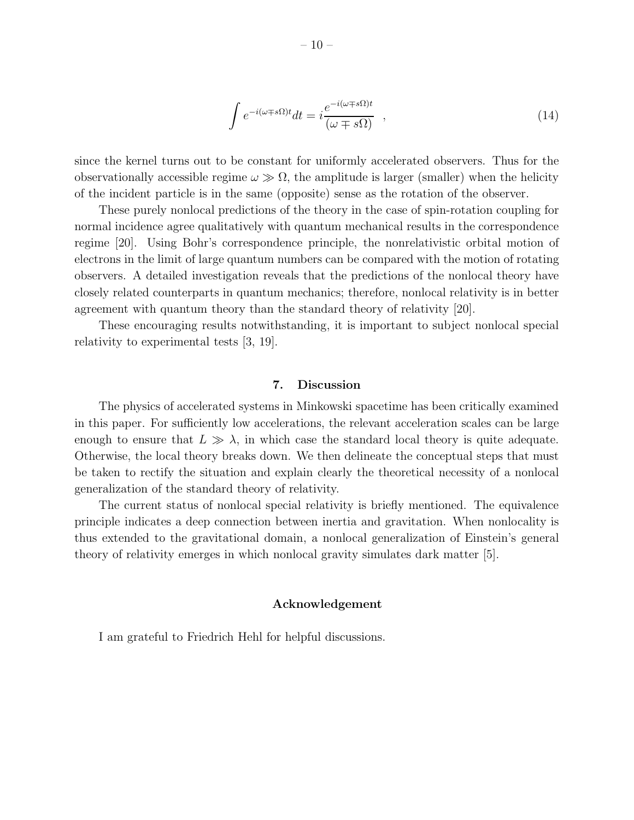$$
\int e^{-i(\omega \mp s\Omega)t} dt = i \frac{e^{-i(\omega \mp s\Omega)t}}{(\omega \mp s\Omega)} , \qquad (14)
$$

since the kernel turns out to be constant for uniformly accelerated observers. Thus for the observationally accessible regime  $\omega \gg \Omega$ , the amplitude is larger (smaller) when the helicity of the incident particle is in the same (opposite) sense as the rotation of the observer.

These purely nonlocal predictions of the theory in the case of spin-rotation coupling for normal incidence agree qualitatively with quantum mechanical results in the correspondence regime [20]. Using Bohr's correspondence principle, the nonrelativistic orbital motion of electrons in the limit of large quantum numbers can be compared with the motion of rotating observers. A detailed investigation reveals that the predictions of the nonlocal theory have closely related counterparts in quantum mechanics; therefore, nonlocal relativity is in better agreement with quantum theory than the standard theory of relativity [20].

These encouraging results notwithstanding, it is important to subject nonlocal special relativity to experimental tests [3, 19].

## 7. Discussion

The physics of accelerated systems in Minkowski spacetime has been critically examined in this paper. For sufficiently low accelerations, the relevant acceleration scales can be large enough to ensure that  $L \gg \lambda$ , in which case the standard local theory is quite adequate. Otherwise, the local theory breaks down. We then delineate the conceptual steps that must be taken to rectify the situation and explain clearly the theoretical necessity of a nonlocal generalization of the standard theory of relativity.

The current status of nonlocal special relativity is briefly mentioned. The equivalence principle indicates a deep connection between inertia and gravitation. When nonlocality is thus extended to the gravitational domain, a nonlocal generalization of Einstein's general theory of relativity emerges in which nonlocal gravity simulates dark matter [5].

#### Acknowledgement

I am grateful to Friedrich Hehl for helpful discussions.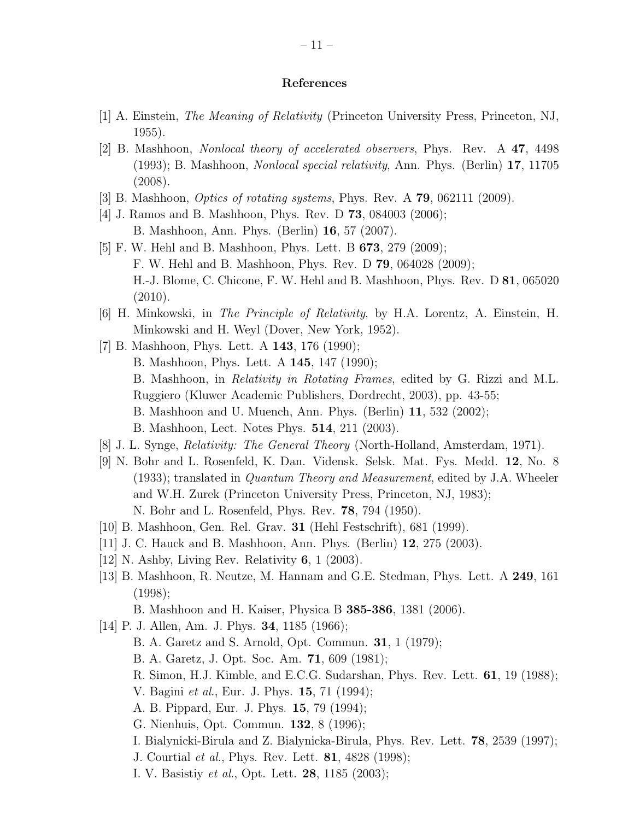#### References

- [1] A. Einstein, The Meaning of Relativity (Princeton University Press, Princeton, NJ, 1955).
- [2] B. Mashhoon, Nonlocal theory of accelerated observers, Phys. Rev. A 47, 4498 (1993); B. Mashhoon, Nonlocal special relativity, Ann. Phys. (Berlin) 17, 11705 (2008).
- [3] B. Mashhoon, *Optics of rotating systems*, Phys. Rev.  $\mathbf{A}$  **79**, 062111 (2009).
- [4] J. Ramos and B. Mashhoon, Phys. Rev. D **73**, 084003 (2006); B. Mashhoon, Ann. Phys. (Berlin) 16, 57 (2007).
- [5] F. W. Hehl and B. Mashhoon, Phys. Lett. B 673, 279 (2009); F. W. Hehl and B. Mashhoon, Phys. Rev. D 79, 064028 (2009); H.-J. Blome, C. Chicone, F. W. Hehl and B. Mashhoon, Phys. Rev. D 81, 065020 (2010).
- [6] H. Minkowski, in The Principle of Relativity, by H.A. Lorentz, A. Einstein, H. Minkowski and H. Weyl (Dover, New York, 1952).
- [7] B. Mashhoon, Phys. Lett. A 143, 176 (1990); B. Mashhoon, Phys. Lett. A 145, 147 (1990); B. Mashhoon, in Relativity in Rotating Frames, edited by G. Rizzi and M.L. Ruggiero (Kluwer Academic Publishers, Dordrecht, 2003), pp. 43-55; B. Mashhoon and U. Muench, Ann. Phys. (Berlin) 11, 532 (2002); B. Mashhoon, Lect. Notes Phys. 514, 211 (2003).
- [8] J. L. Synge, Relativity: The General Theory (North-Holland, Amsterdam, 1971).
- [9] N. Bohr and L. Rosenfeld, K. Dan. Vidensk. Selsk. Mat. Fys. Medd. 12, No. 8 (1933); translated in Quantum Theory and Measurement, edited by J.A. Wheeler and W.H. Zurek (Princeton University Press, Princeton, NJ, 1983); N. Bohr and L. Rosenfeld, Phys. Rev. 78, 794 (1950).
- [10] B. Mashhoon, Gen. Rel. Grav. 31 (Hehl Festschrift), 681 (1999).
- [11] J. C. Hauck and B. Mashhoon, Ann. Phys. (Berlin) 12, 275 (2003).
- [12] N. Ashby, Living Rev. Relativity  $6, 1$  (2003).
- [13] B. Mashhoon, R. Neutze, M. Hannam and G.E. Stedman, Phys. Lett. A 249, 161 (1998);
	- B. Mashhoon and H. Kaiser, Physica B 385-386, 1381 (2006).
- [14] P. J. Allen, Am. J. Phys. **34**, 1185 (1966);
	- B. A. Garetz and S. Arnold, Opt. Commun. 31, 1 (1979);
	- B. A. Garetz, J. Opt. Soc. Am. 71, 609 (1981);
	- R. Simon, H.J. Kimble, and E.C.G. Sudarshan, Phys. Rev. Lett. 61, 19 (1988);
	- V. Bagini et al., Eur. J. Phys. 15, 71 (1994);
	- A. B. Pippard, Eur. J. Phys. 15, 79 (1994);
	- G. Nienhuis, Opt. Commun. 132, 8 (1996);
	- I. Bialynicki-Birula and Z. Bialynicka-Birula, Phys. Rev. Lett. 78, 2539 (1997);
	- J. Courtial et al., Phys. Rev. Lett. 81, 4828 (1998);
	- I. V. Basistiy et al., Opt. Lett. 28, 1185 (2003);